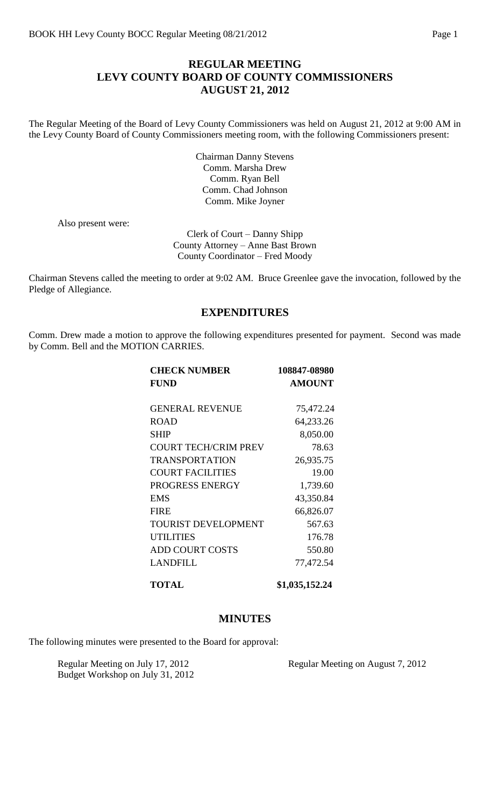#### **REGULAR MEETING LEVY COUNTY BOARD OF COUNTY COMMISSIONERS AUGUST 21, 2012**

The Regular Meeting of the Board of Levy County Commissioners was held on August 21, 2012 at 9:00 AM in the Levy County Board of County Commissioners meeting room, with the following Commissioners present:

> Chairman Danny Stevens Comm. Marsha Drew Comm. Ryan Bell Comm. Chad Johnson Comm. Mike Joyner

Also present were:

Clerk of Court – Danny Shipp County Attorney – Anne Bast Brown County Coordinator – Fred Moody

Chairman Stevens called the meeting to order at 9:02 AM. Bruce Greenlee gave the invocation, followed by the Pledge of Allegiance.

#### **EXPENDITURES**

Comm. Drew made a motion to approve the following expenditures presented for payment. Second was made by Comm. Bell and the MOTION CARRIES.

| <b>CHECK NUMBER</b>         | 108847-08980   |
|-----------------------------|----------------|
| <b>FUND</b>                 | <b>AMOUNT</b>  |
|                             |                |
| <b>GENERAL REVENUE</b>      | 75,472.24      |
| <b>ROAD</b>                 | 64,233.26      |
| SHIP                        | 8,050.00       |
| <b>COURT TECH/CRIM PREV</b> | 78.63          |
| <b>TRANSPORTATION</b>       | 26,935.75      |
| <b>COURT FACILITIES</b>     | 19.00          |
| PROGRESS ENERGY             | 1,739.60       |
| <b>EMS</b>                  | 43,350.84      |
| <b>FIRE</b>                 | 66,826.07      |
| <b>TOURIST DEVELOPMENT</b>  | 567.63         |
| <b>UTILITIES</b>            | 176.78         |
| <b>ADD COURT COSTS</b>      | 550.80         |
| <b>LANDFILL</b>             | 77,472.54      |
| TOTAL                       | \$1,035,152.24 |

#### **MINUTES**

The following minutes were presented to the Board for approval:

Budget Workshop on July 31, 2012

Regular Meeting on July 17, 2012 Regular Meeting on August 7, 2012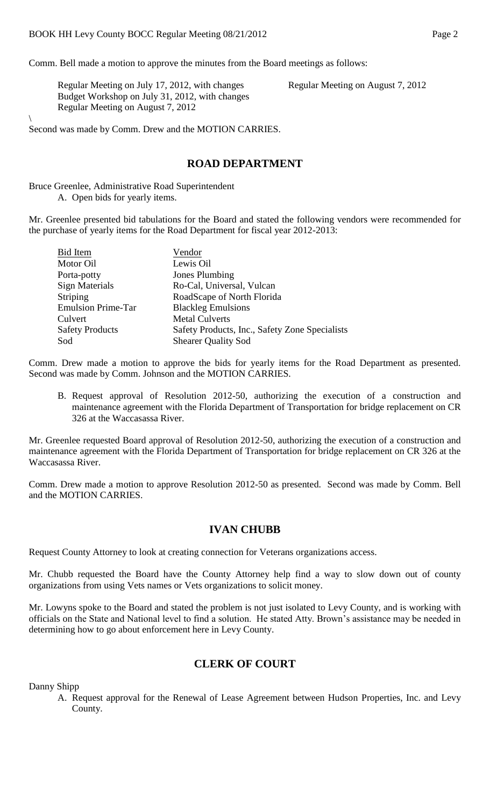Comm. Bell made a motion to approve the minutes from the Board meetings as follows:

Regular Meeting on July 17, 2012, with changes Regular Meeting on August 7, 2012 Budget Workshop on July 31, 2012, with changes Regular Meeting on August 7, 2012

 $\backslash$ Second was made by Comm. Drew and the MOTION CARRIES.

#### **ROAD DEPARTMENT**

Bruce Greenlee, Administrative Road Superintendent A. Open bids for yearly items.

Mr. Greenlee presented bid tabulations for the Board and stated the following vendors were recommended for the purchase of yearly items for the Road Department for fiscal year 2012-2013:

| <b>Bid Item</b>           | Vendor                                         |
|---------------------------|------------------------------------------------|
| Motor Oil                 | Lewis Oil                                      |
| Porta-potty               | Jones Plumbing                                 |
| <b>Sign Materials</b>     | Ro-Cal, Universal, Vulcan                      |
| Striping                  | RoadScape of North Florida                     |
| <b>Emulsion Prime-Tar</b> | <b>Blackleg Emulsions</b>                      |
| Culvert                   | <b>Metal Culverts</b>                          |
| <b>Safety Products</b>    | Safety Products, Inc., Safety Zone Specialists |
| Sod                       | <b>Shearer Quality Sod</b>                     |

Comm. Drew made a motion to approve the bids for yearly items for the Road Department as presented. Second was made by Comm. Johnson and the MOTION CARRIES.

B. Request approval of Resolution 2012-50, authorizing the execution of a construction and maintenance agreement with the Florida Department of Transportation for bridge replacement on CR 326 at the Waccasassa River.

Mr. Greenlee requested Board approval of Resolution 2012-50, authorizing the execution of a construction and maintenance agreement with the Florida Department of Transportation for bridge replacement on CR 326 at the Waccasassa River.

Comm. Drew made a motion to approve Resolution 2012-50 as presented. Second was made by Comm. Bell and the MOTION CARRIES.

#### **IVAN CHUBB**

Request County Attorney to look at creating connection for Veterans organizations access.

Mr. Chubb requested the Board have the County Attorney help find a way to slow down out of county organizations from using Vets names or Vets organizations to solicit money.

Mr. Lowyns spoke to the Board and stated the problem is not just isolated to Levy County, and is working with officials on the State and National level to find a solution. He stated Atty. Brown's assistance may be needed in determining how to go about enforcement here in Levy County.

### **CLERK OF COURT**

Danny Shipp

A. Request approval for the Renewal of Lease Agreement between Hudson Properties, Inc. and Levy County.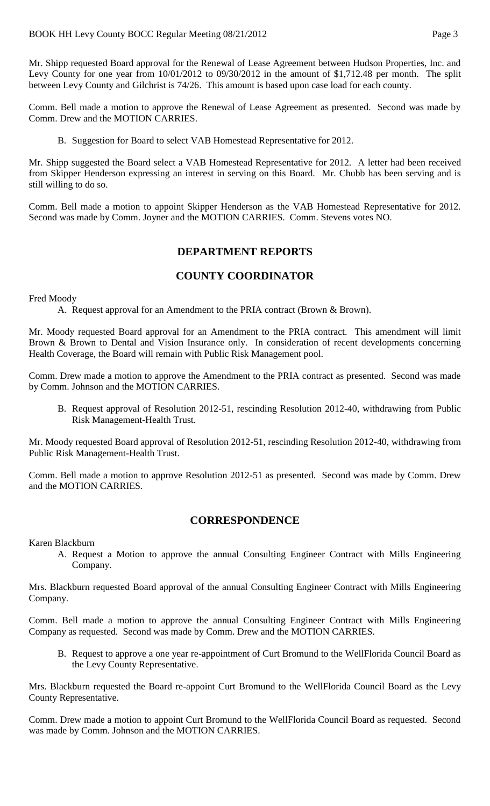Mr. Shipp requested Board approval for the Renewal of Lease Agreement between Hudson Properties, Inc. and Levy County for one year from 10/01/2012 to 09/30/2012 in the amount of \$1,712.48 per month. The split between Levy County and Gilchrist is 74/26. This amount is based upon case load for each county.

Comm. Bell made a motion to approve the Renewal of Lease Agreement as presented. Second was made by Comm. Drew and the MOTION CARRIES.

B. Suggestion for Board to select VAB Homestead Representative for 2012.

Mr. Shipp suggested the Board select a VAB Homestead Representative for 2012. A letter had been received from Skipper Henderson expressing an interest in serving on this Board. Mr. Chubb has been serving and is still willing to do so.

Comm. Bell made a motion to appoint Skipper Henderson as the VAB Homestead Representative for 2012. Second was made by Comm. Joyner and the MOTION CARRIES. Comm. Stevens votes NO.

# **DEPARTMENT REPORTS**

### **COUNTY COORDINATOR**

Fred Moody

A. Request approval for an Amendment to the PRIA contract (Brown & Brown).

Mr. Moody requested Board approval for an Amendment to the PRIA contract. This amendment will limit Brown & Brown to Dental and Vision Insurance only. In consideration of recent developments concerning Health Coverage, the Board will remain with Public Risk Management pool.

Comm. Drew made a motion to approve the Amendment to the PRIA contract as presented. Second was made by Comm. Johnson and the MOTION CARRIES.

B. Request approval of Resolution 2012-51, rescinding Resolution 2012-40, withdrawing from Public Risk Management-Health Trust.

Mr. Moody requested Board approval of Resolution 2012-51, rescinding Resolution 2012-40, withdrawing from Public Risk Management-Health Trust.

Comm. Bell made a motion to approve Resolution 2012-51 as presented. Second was made by Comm. Drew and the MOTION CARRIES.

### **CORRESPONDENCE**

Karen Blackburn

A. Request a Motion to approve the annual Consulting Engineer Contract with Mills Engineering Company.

Mrs. Blackburn requested Board approval of the annual Consulting Engineer Contract with Mills Engineering Company.

Comm. Bell made a motion to approve the annual Consulting Engineer Contract with Mills Engineering Company as requested. Second was made by Comm. Drew and the MOTION CARRIES.

B. Request to approve a one year re-appointment of Curt Bromund to the WellFlorida Council Board as the Levy County Representative.

Mrs. Blackburn requested the Board re-appoint Curt Bromund to the WellFlorida Council Board as the Levy County Representative.

Comm. Drew made a motion to appoint Curt Bromund to the WellFlorida Council Board as requested. Second was made by Comm. Johnson and the MOTION CARRIES.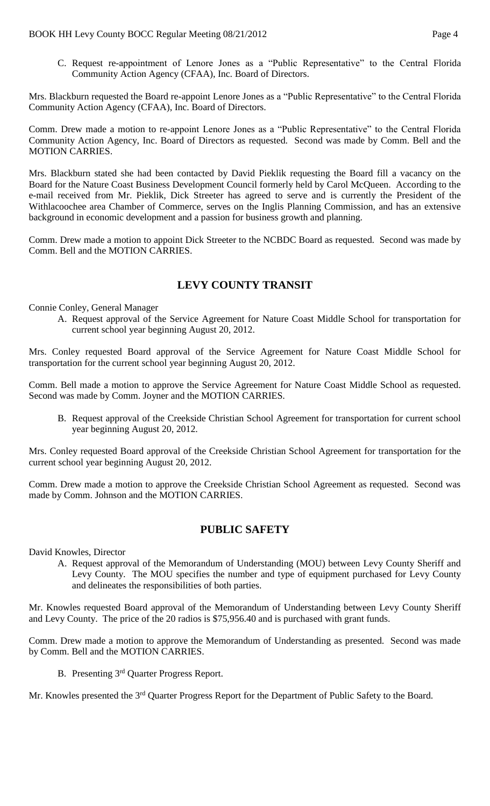C. Request re-appointment of Lenore Jones as a "Public Representative" to the Central Florida Community Action Agency (CFAA), Inc. Board of Directors.

Mrs. Blackburn requested the Board re-appoint Lenore Jones as a "Public Representative" to the Central Florida Community Action Agency (CFAA), Inc. Board of Directors.

Comm. Drew made a motion to re-appoint Lenore Jones as a "Public Representative" to the Central Florida Community Action Agency, Inc. Board of Directors as requested. Second was made by Comm. Bell and the MOTION CARRIES.

Mrs. Blackburn stated she had been contacted by David Pieklik requesting the Board fill a vacancy on the Board for the Nature Coast Business Development Council formerly held by Carol McQueen. According to the e-mail received from Mr. Pieklik, Dick Streeter has agreed to serve and is currently the President of the Withlacoochee area Chamber of Commerce, serves on the Inglis Planning Commission, and has an extensive background in economic development and a passion for business growth and planning.

Comm. Drew made a motion to appoint Dick Streeter to the NCBDC Board as requested. Second was made by Comm. Bell and the MOTION CARRIES.

# **LEVY COUNTY TRANSIT**

Connie Conley, General Manager

A. Request approval of the Service Agreement for Nature Coast Middle School for transportation for current school year beginning August 20, 2012.

Mrs. Conley requested Board approval of the Service Agreement for Nature Coast Middle School for transportation for the current school year beginning August 20, 2012.

Comm. Bell made a motion to approve the Service Agreement for Nature Coast Middle School as requested. Second was made by Comm. Joyner and the MOTION CARRIES.

B. Request approval of the Creekside Christian School Agreement for transportation for current school year beginning August 20, 2012.

Mrs. Conley requested Board approval of the Creekside Christian School Agreement for transportation for the current school year beginning August 20, 2012.

Comm. Drew made a motion to approve the Creekside Christian School Agreement as requested. Second was made by Comm. Johnson and the MOTION CARRIES.

#### **PUBLIC SAFETY**

David Knowles, Director

A. Request approval of the Memorandum of Understanding (MOU) between Levy County Sheriff and Levy County. The MOU specifies the number and type of equipment purchased for Levy County and delineates the responsibilities of both parties.

Mr. Knowles requested Board approval of the Memorandum of Understanding between Levy County Sheriff and Levy County. The price of the 20 radios is \$75,956.40 and is purchased with grant funds.

Comm. Drew made a motion to approve the Memorandum of Understanding as presented. Second was made by Comm. Bell and the MOTION CARRIES.

B. Presenting 3rd Quarter Progress Report.

Mr. Knowles presented the 3<sup>rd</sup> Quarter Progress Report for the Department of Public Safety to the Board.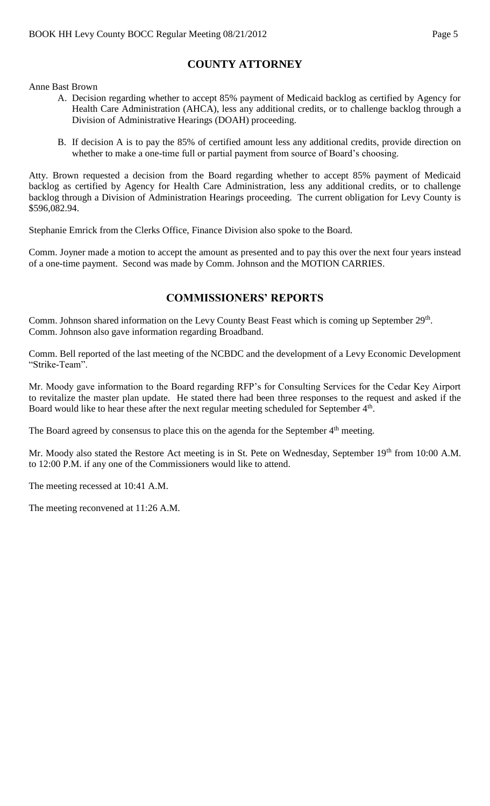# **COUNTY ATTORNEY**

Anne Bast Brown

- A. Decision regarding whether to accept 85% payment of Medicaid backlog as certified by Agency for Health Care Administration (AHCA), less any additional credits, or to challenge backlog through a Division of Administrative Hearings (DOAH) proceeding.
- B. If decision A is to pay the 85% of certified amount less any additional credits, provide direction on whether to make a one-time full or partial payment from source of Board's choosing.

Atty. Brown requested a decision from the Board regarding whether to accept 85% payment of Medicaid backlog as certified by Agency for Health Care Administration, less any additional credits, or to challenge backlog through a Division of Administration Hearings proceeding. The current obligation for Levy County is \$596,082.94.

Stephanie Emrick from the Clerks Office, Finance Division also spoke to the Board.

Comm. Joyner made a motion to accept the amount as presented and to pay this over the next four years instead of a one-time payment. Second was made by Comm. Johnson and the MOTION CARRIES.

# **COMMISSIONERS' REPORTS**

Comm. Johnson shared information on the Levy County Beast Feast which is coming up September 29<sup>th</sup>. Comm. Johnson also gave information regarding Broadband.

Comm. Bell reported of the last meeting of the NCBDC and the development of a Levy Economic Development "Strike-Team".

Mr. Moody gave information to the Board regarding RFP's for Consulting Services for the Cedar Key Airport to revitalize the master plan update. He stated there had been three responses to the request and asked if the Board would like to hear these after the next regular meeting scheduled for September 4<sup>th</sup>.

The Board agreed by consensus to place this on the agenda for the September 4<sup>th</sup> meeting.

Mr. Moody also stated the Restore Act meeting is in St. Pete on Wednesday, September 19<sup>th</sup> from 10:00 A.M. to 12:00 P.M. if any one of the Commissioners would like to attend.

The meeting recessed at 10:41 A.M.

The meeting reconvened at 11:26 A.M.